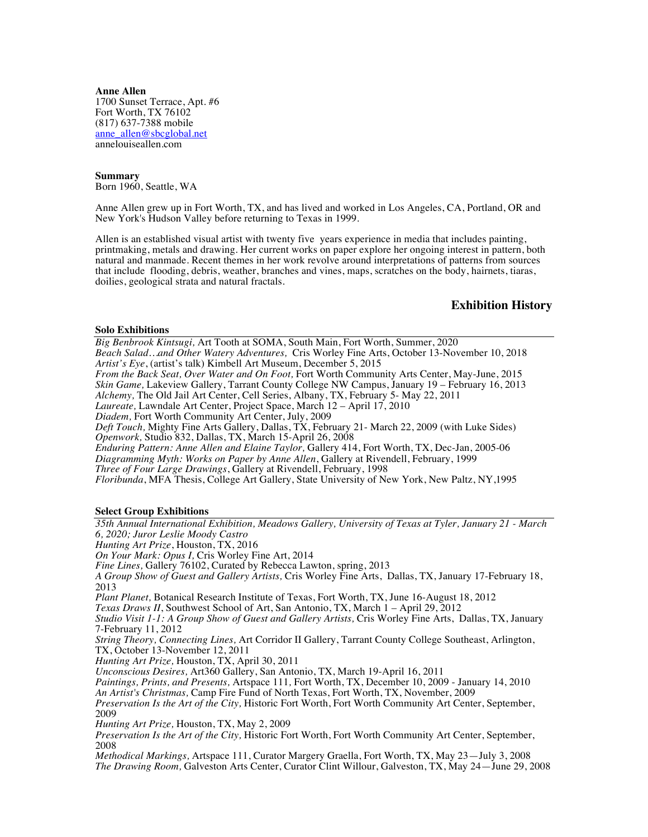**Anne Allen** 1700 Sunset Terrace, Apt. #6 Fort Worth, TX 76102 (817) 637-7388 mobile anne\_allen@sbcglobal.net annelouiseallen.com

**Summary**  Born 1960, Seattle, WA

Anne Allen grew up in Fort Worth, TX, and has lived and worked in Los Angeles, CA, Portland, OR and New York's Hudson Valley before returning to Texas in 1999.

Allen is an established visual artist with twenty five years experience in media that includes painting, printmaking, metals and drawing. Her current works on paper explore her ongoing interest in pattern, both natural and manmade. Recent themes in her work revolve around interpretations of patterns from sources that include flooding, debris, weather, branches and vines, maps, scratches on the body, hairnets, tiaras, doilies, geological strata and natural fractals.

# **Exhibition History**

**Solo Exhibitions**

*Big Benbrook Kintsugi,* Art Tooth at SOMA, South Main, Fort Worth, Summer, 2020 *Beach Salad…and Other Watery Adventures,* Cris Worley Fine Arts, October 13-November 10, 2018 *Artist's Eye*, (artist's talk) Kimbell Art Museum, December 5, 2015 *From the Back Seat, Over Water and On Foot,* Fort Worth Community Arts Center, May-June, 2015 *Skin Game,* Lakeview Gallery, Tarrant County College NW Campus, January 19 – February 16, 2013 *Alchemy,* The Old Jail Art Center, Cell Series, Albany, TX, February 5- May 22, 2011 *Laureate,* Lawndale Art Center, Project Space, March 12 – April 17, 2010 *Diadem,* Fort Worth Community Art Center, July, 2009 *Deft Touch,* Mighty Fine Arts Gallery, Dallas, TX, February 21- March 22, 2009 (with Luke Sides) *Openwork,* Studio 832, Dallas, TX, March 15-April 26, 2008 *Enduring Pattern: Anne Allen and Elaine Taylor,* Gallery 414, Fort Worth, TX, Dec-Jan, 2005-06 *Diagramming Myth: Works on Paper by Anne Allen*, Gallery at Rivendell, February, 1999 *Three of Four Large Drawings*, Gallery at Rivendell, February, 1998 *Floribunda*, MFA Thesis, College Art Gallery, State University of New York, New Paltz, NY,1995 **Select Group Exhibitions** *35th Annual International Exhibition, Meadows Gallery, University of Texas at Tyler, January 21 - March 6, 2020; Juror Leslie Moody Castro Hunting Art Prize*, Houston, TX, 2016 *On Your Mark: Opus I,* Cris Worley Fine Art, 2014 *Fine Lines,* Gallery 76102, Curated by Rebecca Lawton, spring, 2013 *A Group Show of Guest and Gallery Artists,* Cris Worley Fine Arts, Dallas, TX, January 17-February 18, 2013 *Plant Planet,* Botanical Research Institute of Texas, Fort Worth, TX, June 16-August 18, 2012 *Texas Draws II*, Southwest School of Art, San Antonio, TX, March 1 – April 29, 2012 *Studio Visit 1-1: A Group Show of Guest and Gallery Artists,* Cris Worley Fine Arts, Dallas, TX, January 7-February 11, 2012 *String Theory, Connecting Lines,* Art Corridor II Gallery, Tarrant County College Southeast, Arlington, TX, October 13-November 12, 2011 *Hunting Art Prize,* Houston, TX, April 30, 2011 *Unconscious Desires,* Art360 Gallery, San Antonio, TX, March 19-April 16, 2011 *Paintings, Prints, and Presents,* Artspace 111*,* Fort Worth, TX, December 10, 2009 - January 14, 2010 *An Artist's Christmas,* Camp Fire Fund of North Texas, Fort Worth, TX, November, 2009 *Preservation Is the Art of the City,* Historic Fort Worth, Fort Worth Community Art Center, September, 2009 *Hunting Art Prize,* Houston, TX, May 2, 2009 *Preservation Is the Art of the City,* Historic Fort Worth, Fort Worth Community Art Center, September, 2008 *Methodical Markings,* Artspace 111, Curator Margery Graella, Fort Worth, TX, May 23—July 3, 2008 *The Drawing Room,* Galveston Arts Center, Curator Clint Willour, Galveston, TX, May 24—June 29, 2008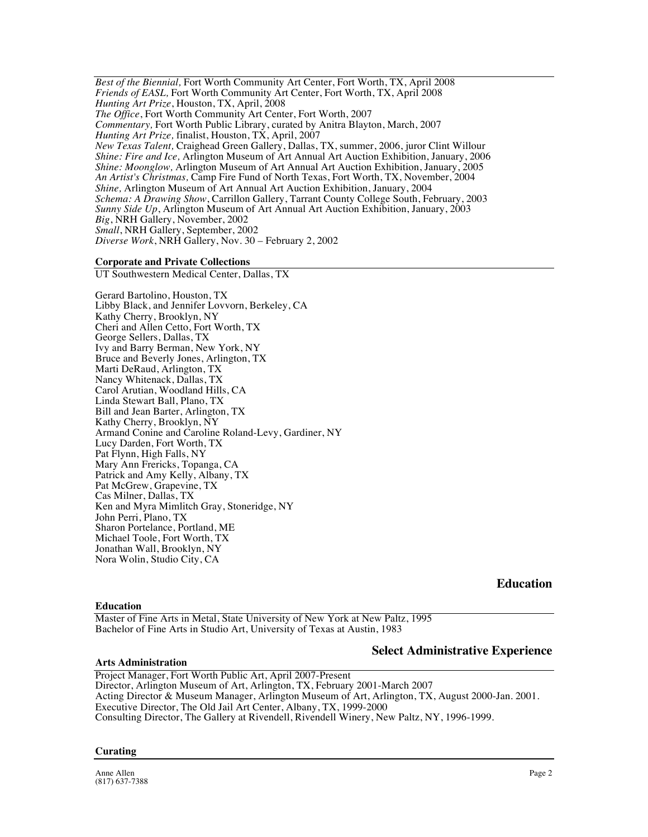*Best of the Biennial,* Fort Worth Community Art Center, Fort Worth, TX, April 2008 *Friends of EASL,* Fort Worth Community Art Center, Fort Worth, TX, April 2008 *Hunting Art Prize*, Houston, TX, April, 2008 *The Office*, Fort Worth Community Art Center, Fort Worth, 2007 *Commentary,* Fort Worth Public Library, curated by Anitra Blayton, March, 2007 *Hunting Art Prize,* finalist, Houston, TX, April, 2007 *New Texas Talent,* Craighead Green Gallery, Dallas, TX, summer, 2006, juror Clint Willour *Shine: Fire and Ice,* Arlington Museum of Art Annual Art Auction Exhibition, January, 2006 *Shine: Moonglow,* Arlington Museum of Art Annual Art Auction Exhibition, January, 2005 *An Artist's Christmas,* Camp Fire Fund of North Texas, Fort Worth, TX, November, 2004 *Shine,* Arlington Museum of Art Annual Art Auction Exhibition, January, 2004 *Schema: A Drawing Show*, Carrillon Gallery, Tarrant County College South, February, 2003 *Sunny Side Up*, Arlington Museum of Art Annual Art Auction Exhibition, January, 2003 *Big*, NRH Gallery, November, 2002 *Small*, NRH Gallery, September, 2002 *Diverse Work*, NRH Gallery, Nov. 30 – February 2, 2002

## **Corporate and Private Collections**

UT Southwestern Medical Center, Dallas, TX

Gerard Bartolino, Houston, TX Libby Black, and Jennifer Lovvorn, Berkeley, CA Kathy Cherry, Brooklyn, NY Cheri and Allen Cetto, Fort Worth, TX George Sellers, Dallas, TX Ivy and Barry Berman, New York, NY Bruce and Beverly Jones, Arlington, TX Marti DeRaud, Arlington, TX Nancy Whitenack, Dallas, TX Carol Arutian, Woodland Hills, CA Linda Stewart Ball, Plano, TX Bill and Jean Barter, Arlington, TX Kathy Cherry, Brooklyn, NY Armand Conine and Caroline Roland-Levy, Gardiner, NY Lucy Darden, Fort Worth, TX Pat Flynn, High Falls, NY Mary Ann Frericks, Topanga, CA Patrick and Amy Kelly, Albany, TX Pat McGrew, Grapevine, TX Cas Milner, Dallas, TX Ken and Myra Mimlitch Gray, Stoneridge, NY John Perri, Plano, TX Sharon Portelance, Portland, ME Michael Toole, Fort Worth, TX Jonathan Wall, Brooklyn, NY Nora Wolin, Studio City, CA

**Education** 

### **Education**

Master of Fine Arts in Metal, State University of New York at New Paltz, 1995 Bachelor of Fine Arts in Studio Art, University of Texas at Austin, 1983

# **Select Administrative Experience**

**Arts Administration**  Project Manager, Fort Worth Public Art, April 2007-Present

Director, Arlington Museum of Art, Arlington, TX, February 2001-March 2007 Acting Director & Museum Manager, Arlington Museum of Art, Arlington, TX, August 2000-Jan. 2001. Executive Director, The Old Jail Art Center, Albany, TX, 1999-2000 Consulting Director, The Gallery at Rivendell, Rivendell Winery, New Paltz, NY, 1996-1999.

## **Curating**